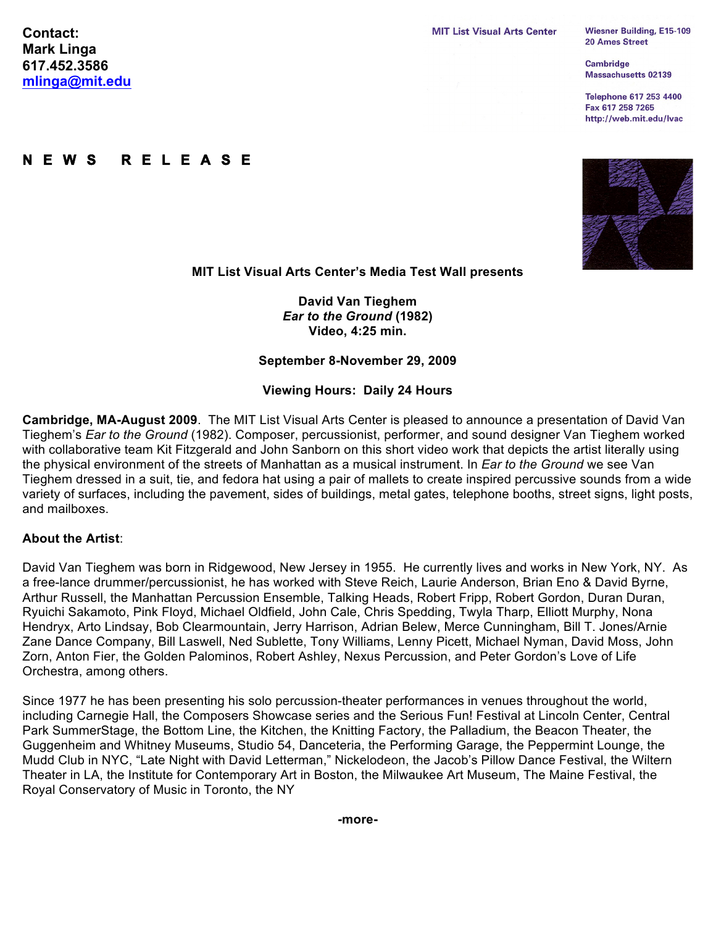**Contact: Mark Linga [617.452.3586](tel:6174523586) [mlinga@mit.edu](mailto:mlinga@mit.edu)**

**Wiesner Building, E15-109 20 Ames Street** 

Cambridge **Massachusetts 02139** 

**[Telephone](tel:6172534400) 617 253 4400** [Fax](fax:6172587265) 617 258 7265 http://web.mit.edu/lvac

# **NEWS RELEASE**



### **MIT List Visual Arts Center's Media Test Wall presents**

**David Van Tieghem** *Ear to the Ground* **(1982) Video, 4:25 min.**

#### **September 8-November 29, 2009**

## **Viewing Hours: Daily 24 Hours**

**Cambridge, MA-August 2009**. The MIT List Visual Arts Center is pleased to announce a presentation of David Van Tieghem's *Ear to the Ground* (1982). Composer, percussionist, performer, and sound designer Van Tieghem worked with collaborative team Kit Fitzgerald and John Sanborn on this short video work that depicts the artist literally using the physical environment of the streets of Manhattan as a musical instrument. In *Ear to the Ground* we see Van Tieghem dressed in a suit, tie, and fedora hat using a pair of mallets to create inspired percussive sounds from a wide variety of surfaces, including the pavement, sides of buildings, metal gates, telephone booths, street signs, light posts, and mailboxes.

## **About the Artist**:

David Van Tieghem was born in Ridgewood, New Jersey in 1955. He currently lives and works in New York, NY. As a free-lance drummer/percussionist, he has worked with Steve Reich, Laurie Anderson, Brian Eno & David Byrne, Arthur Russell, the Manhattan Percussion Ensemble, Talking Heads, Robert Fripp, Robert Gordon, Duran Duran, Ryuichi Sakamoto, Pink Floyd, Michael Oldfield, John Cale, Chris Spedding, Twyla Tharp, Elliott Murphy, Nona Hendryx, Arto Lindsay, Bob Clearmountain, Jerry Harrison, Adrian Belew, Merce Cunningham, Bill T. Jones/Arnie Zane Dance Company, Bill Laswell, Ned Sublette, Tony Williams, Lenny Picett, Michael Nyman, David Moss, John Zorn, Anton Fier, the Golden Palominos, Robert Ashley, Nexus Percussion, and Peter Gordon's Love of Life Orchestra, among others.

Since 1977 he has been presenting his solo percussion-theater performances in venues throughout the world, including Carnegie Hall, the Composers Showcase series and the Serious Fun! Festival at Lincoln Center, Central Park SummerStage, the Bottom Line, the Kitchen, the Knitting Factory, the Palladium, the Beacon Theater, the Guggenheim and Whitney Museums, Studio 54, Danceteria, the Performing Garage, the Peppermint Lounge, the Mudd Club in NYC, "Late Night with David Letterman," Nickelodeon, the Jacob's Pillow Dance Festival, the Wiltern Theater in LA, the Institute for Contemporary Art in Boston, the Milwaukee Art Museum, The Maine Festival, the Royal Conservatory of Music in Toronto, the NY

**-more-**